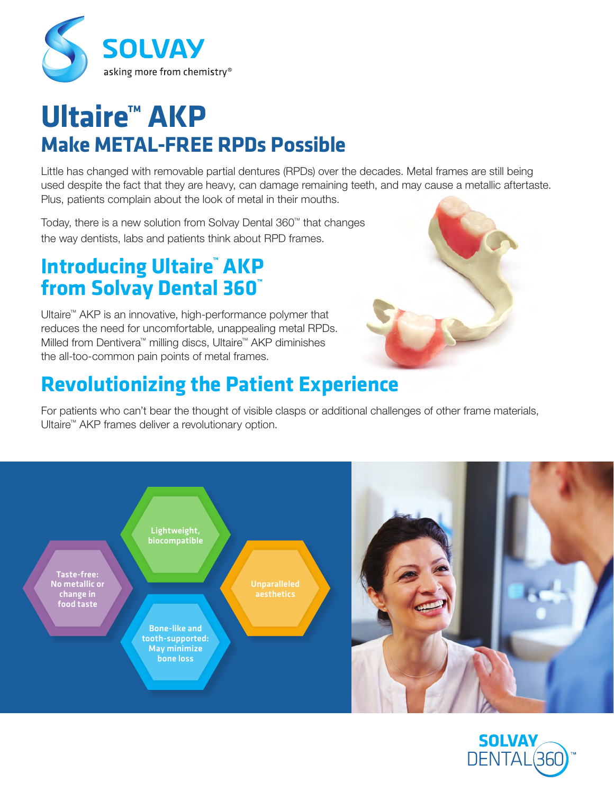

# **Ultaire™ AKP Make METAL-FREE RPDs Possible**

Little has changed with removable partial dentures (RPDs) over the decades. Metal frames are still being used despite the fact that they are heavy, can damage remaining teeth, and may cause a metallic aftertaste. Plus, patients complain about the look of metal in their mouths.

Today, there is a new solution from Solvay Dental 360™ that changes the way dentists, labs and patients think about RPD frames.

#### **Introducing Ultaire™ AKP from Solvay Dental 360™**

Ultaire™ AKP is an innovative, high-performance polymer that reduces the need for uncomfortable, unappealing metal RPDs. Milled from Dentivera™ milling discs, Ultaire™ AKP diminishes the all-too-common pain points of metal frames.

## **Revolutionizing the Patient Experience**

For patients who can't bear the thought of visible clasps or additional challenges of other frame materials, Ultaire™ AKP frames deliver a revolutionary option.